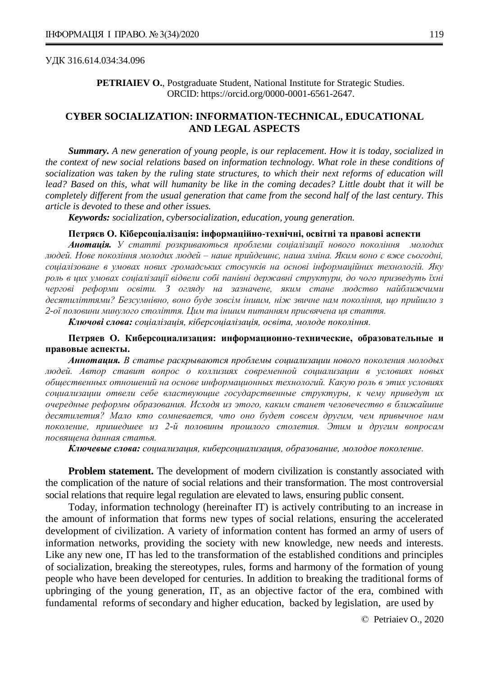#### УДК 316.614.034:34.096

**PETRIAIEV O.**, Postgraduate Student, National Institute for Strategic Studies. ORCID: https://orcid.org/0000-0001-6561-2647.

# **CYBER SOCIALIZATION: INFORMATION-TECHNICAL, EDUCATIONAL AND LEGAL ASPECTS**

*Summary. A new generation of young people, is our replacement. How it is today, socialized in the context of new social relations based on information technology. What role in these conditions of socialization was taken by the ruling state structures, to which their next reforms of education will lead? Based on this, what will humanity be like in the coming decades? Little doubt that it will be completely different from the usual generation that came from the second half of the last century. This article is devoted to these and other issues.*

*Keywords: socialization, cybersocialization, education, young generation.*

#### **Петряєв О. Кіберсоціалізація: інформаційно-технічні, освітні та правові аспекти**

*Анотація. У статті розкриваються проблеми соціалізації нового покоління молодих людей. Нове покоління молодих людей – наше прийдешнє, наша зміна. Яким воно є вже сьогодні, соціалізоване в умовах нових громадських стосунків на основі інформаційних технологій. Яку роль в цих умовах соціалізації відвели собі панівні державні структури, до чого призведуть їхні чергові реформи освіти. З огляду на зазначене, яким стане людство найближчими десятиліттями? Безсумнівно, воно буде зовсім іншим, ніж звичне нам покоління, що прийшло з 2-ої половини минулого століття. Цим та іншим питанням присвячена ця стаття.*

*Ключові слова: соціалізація, кіберсоціалізація, освіта, молоде покоління.*

## **Петряев О. Киберсоциализация: информационно-технические, образовательные и правовые аспекты.**

*Аннотация. В статье раскрываются проблемы социализации нового поколения молодых людей. Автор ставит вопрос о коллизиях современной социализации в условиях новых общественных отношений на основе информационных технологий. Какую роль в этих условиях социализации отвели себе властвующие государственные структуры, к чему приведут их очередные реформы образования. Исходя из этого, каким станет человечество в ближайшие десятилетия? Мало кто сомневается, что оно будет совсем другим, чем привычное нам поколение, пришедшее из 2-й половины прошлого столетия. Этим и другим вопросам посвящена данная статья.*

*Ключевые слова: социализация, киберсоциализация, образование, молодое поколение.*

**Problem statement.** The development of modern civilization is constantly associated with the complication of the nature of social relations and their transformation. The most controversial social relations that require legal regulation are elevated to laws, ensuring public consent.

Today, information technology (hereinafter IT) is actively contributing to an increase in the amount of information that forms new types of social relations, ensuring the accelerated development of civilization. A variety of information content has formed an army of users of information networks, providing the society with new knowledge, new needs and interests. Like any new one, IT has led to the transformation of the established conditions and principles of socialization, breaking the stereotypes, rules, forms and harmony of the formation of young people who have been developed for centuries. In addition to breaking the traditional forms of upbringing of the young generation, IT, as an objective factor of the era, combined with fundamental reforms of secondary and higher education, backed by legislation, are used by

© Petriaiev O., 2020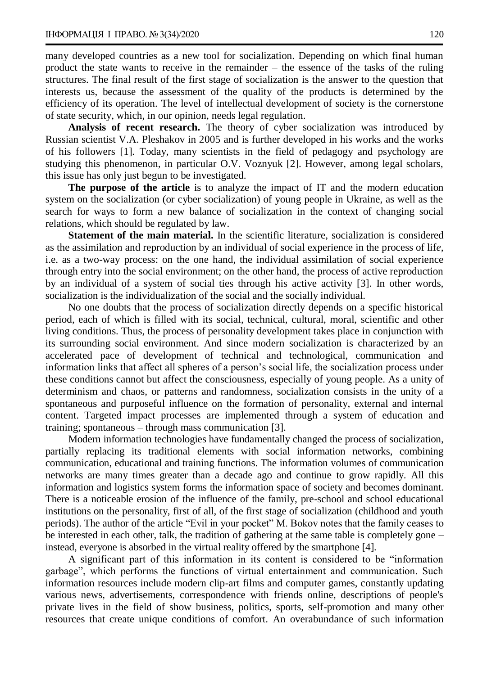many developed countries as a new tool for socialization. Depending on which final human product the state wants to receive in the remainder – the essence of the tasks of the ruling structures. The final result of the first stage of socialization is the answer to the question that interests us, because the assessment of the quality of the products is determined by the efficiency of its operation. The level of intellectual development of society is the cornerstone of state security, which, in our opinion, needs legal regulation.

**Analysis of recent research.** The theory of cyber socialization was introduced by Russian scientist V.A. Pleshakov in 2005 and is further developed in his works and the works of his followers [1]. Today, many scientists in the field of pedagogy and psychology are studying this phenomenon, in particular O.V. Voznyuk [2]. However, among legal scholars, this issue has only just begun to be investigated.

**The purpose of the article** is to analyze the impact of IT and the modern education system on the socialization (or cyber socialization) of young people in Ukraine, as well as the search for ways to form a new balance of socialization in the context of changing social relations, which should be regulated by law.

**Statement of the main material.** In the scientific literature, socialization is considered as the assimilation and reproduction by an individual of social experience in the process of lif*e*, i.e. as a two-way process: on the one hand, the individual assimilation of social experience through entry into the social environment; on the other hand, the process of active reproduction by an individual of a system of social ties through his active activity [3]. In other words, socialization is the individualization of the social and the socially individual.

No one doubts that the process of socialization directly depends on a specific historical period, each of which is filled with its social, technical, cultural, moral, scientific and other living conditions. Thus, the process of personality development takes place in conjunction with its surrounding social environment. And since modern socialization is characterized by an accelerated pace of development of technical and technological, communication and information links that affect all spheres of a person's social life, the socialization process under these conditions cannot but affect the consciousness, especially of young people. As a unity of determinism and chaos, or patterns and randomness, socialization consists in the unity of a spontaneous and purposeful influence on the formation of personality, external and internal content. Targeted impact processes are implemented through a system of education and training; spontaneous – through mass communication [3].

Modern information technologies have fundamentally changed the process of socialization, partially replacing its traditional elements with social information networks, combining communication, educational and training functions. The information volumes of communication networks are many times greater than a decade ago and continue to grow rapidly. All this information and logistics system forms the information space of society and becomes dominant. There is a noticeable erosion of the influence of the family, pre-school and school educational institutions on the personality, first of all, of the first stage of socialization (childhood and youth periods). The author of the article "Evil in your pocket" M. Bokov notes that the family ceases to be interested in each other, talk, the tradition of gathering at the same table is completely gone – instead, everyone is absorbed in the virtual reality offered by the smartphone [4].

A significant part of this information in its content is considered to be "information garbage", which performs the functions of virtual entertainment and communication. Such information resources include modern clip-art films and computer games, constantly updating various news, advertisements, correspondence with friends online, descriptions of people's private lives in the field of show business, politics, sports, self-promotion and many other resources that create unique conditions of comfort. An overabundance of such information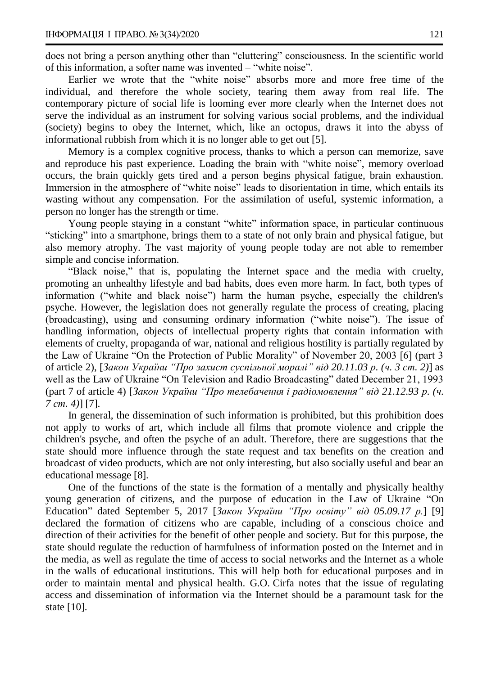does not bring a person anything other than "cluttering" consciousness. In the scientific world of this information, a softer name was invented – "white noise".

Earlier we wrote that the "white noise" absorbs more and more free time of the individual, and therefore the whole society, tearing them away from real life. The contemporary picture of social life is looming ever more clearly when the Internet does not serve the individual as an instrument for solving various social problems, and the individual (society) begins to obey the Internet, which, like an octopus, draws it into the abyss of informational rubbish from which it is no longer able to get out [5].

Memory is a complex cognitive process, thanks to which a person can memorize, save and reproduce his past experience. Loading the brain with "white noise", memory overload occurs, the brain quickly gets tired and a person begins physical fatigue, brain exhaustion. Immersion in the atmosphere of "white noise" leads to disorientation in time, which entails its wasting without any compensation. For the assimilation of useful, systemic information, a person no longer has the strength or time.

Young people staying in a constant "white" information space, in particular continuous "sticking" into a smartphone, brings them to a state of not only brain and physical fatigue, but also memory atrophy. The vast majority of young people today are not able to remember simple and concise information.

"Black noise," that is, populating the Internet space and the media with cruelty, promoting an unhealthy lifestyle and bad habits, does even more harm. In fact, both types of information ("white and black noise") harm the human psyche, especially the children's psyche. However, the legislation does not generally regulate the process of creating, placing (broadcasting), using and consuming ordinary information ("white noise"). The issue of handling information, objects of intellectual property rights that contain information with elements of cruelty, propaganda of war, national and religious hostility is partially regulated by the Law of Ukraine "On the Protection of Public Morality" of November 20, 2003 [6] (part 3 of article 2), [*Закон України "Про захист суспільної моралі" від 20.11.03 р. (ч. 3 ст. 2)*] as well as the Law of Ukraine "On Television and Radio Broadcasting" dated December 21, 1993 (part 7 of article 4) [*Закон України "Про телебачення і радіомовлення" від 21.12.93 р. (ч. 7 ст. 4)*] [7].

In general, the dissemination of such information is prohibited, but this prohibition does not apply to works of art, which include all films that promote violence and cripple the children's psyche, and often the psyche of an adult. Therefore, there are suggestions that the state should more influence through the state request and tax benefits on the creation and broadcast of video products, which are not only interesting, but also socially useful and bear an educational message [8].

One of the functions of the state is the formation of a mentally and physically healthy young generation of citizens, and the purpose of education in the Law of Ukraine "On Education" dated September 5, 2017 [*Закон України "Про освіту" від 05.09.17 р.*] [9] declared the formation of citizens who are capable, including of a conscious choice and direction of their activities for the benefit of other people and society. But for this purpose, the state should regulate the reduction of harmfulness of information posted on the Internet and in the media, as well as regulate the time of access to social networks and the Internet as a whole in the walls of educational institutions. This will help both for educational purposes and in order to maintain mental and physical health. G.O. Cirfa notes that the issue of regulating access and dissemination of information via the Internet should be a paramount task for the state [10].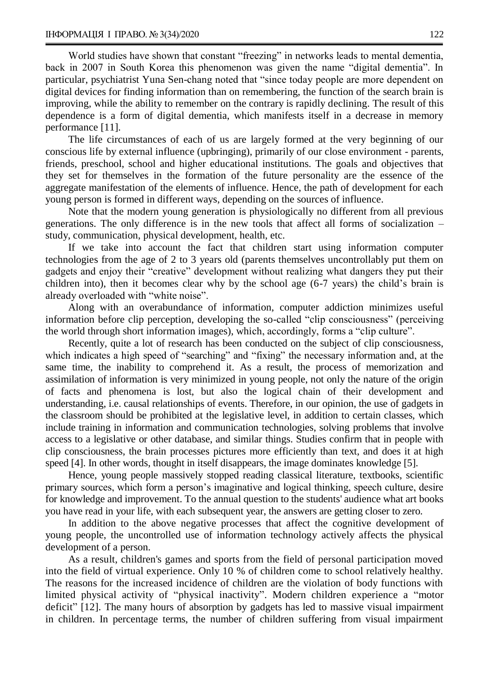World studies have shown that constant "freezing" in networks leads to mental dementia, back in 2007 in South Korea this phenomenon was given the name "digital dementia". In particular, psychiatrist Yuna Sen-chang noted that "since today people are more dependent on digital devices for finding information than on remembering, the function of the search brain is improving, while the ability to remember on the contrary is rapidly declining. The result of this dependence is a form of digital dementia, which manifests itself in a decrease in memory performance [11].

The life circumstances of each of us are largely formed at the very beginning of our conscious life by external influence (upbringing), primarily of our close environment - parents, friends, preschool, school and higher educational institutions. The goals and objectives that they set for themselves in the formation of the future personality are the essence of the aggregate manifestation of the elements of influence. Hence, the path of development for each young person is formed in different ways, depending on the sources of influence.

Note that the modern young generation is physiologically no different from all previous generations. The only difference is in the new tools that affect all forms of socialization – study, communication, physical development, health, etc.

If we take into account the fact that children start using information computer technologies from the age of 2 to 3 years old (parents themselves uncontrollably put them on gadgets and enjoy their "creative" development without realizing what dangers they put their children into), then it becomes clear why by the school age (6-7 years) the child's brain is already overloaded with "white noise".

Along with an overabundance of information, computer addiction minimizes useful information before clip perception, developing the so-called "clip consciousness" (perceiving the world through short information images), which, accordingly, forms a "clip culture".

Recently, quite a lot of research has been conducted on the subject of clip consciousness, which indicates a high speed of "searching" and "fixing" the necessary information and, at the same time, the inability to comprehend it. As a result, the process of memorization and assimilation of information is very minimized in young people, not only the nature of the origin of facts and phenomena is lost, but also the logical chain of their development and understanding, i.e. causal relationships of events. Therefore, in our opinion, the use of gadgets in the classroom should be prohibited at the legislative level, in addition to certain classes, which include training in information and communication technologies, solving problems that involve access to a legislative or other database, and similar things. Studies confirm that in people with clip consciousness, the brain processes pictures more efficiently than text, and does it at high speed [4]. In other words, thought in itself disappears, the image dominates knowledge [5].

Hence, young people massively stopped reading classical literature, textbooks, scientific primary sources, which form a person's imaginative and logical thinking, speech culture, desire for knowledge and improvement. To the annual question to the students' audience what art books you have read in your life, with each subsequent year, the answers are getting closer to zero.

In addition to the above negative processes that affect the cognitive development of young people, the uncontrolled use of information technology actively affects the physical development of a person*.*

As a result, children's games and sports from the field of personal participation moved into the field of virtual experience. Only 10 % of children come to school relatively healthy. The reasons for the increased incidence of children are the violation of body functions with limited physical activity of "physical inactivity". Modern children experience a "motor deficit" [12]. The many hours of absorption by gadgets has led to massive visual impairment in children. In percentage terms, the number of children suffering from visual impairment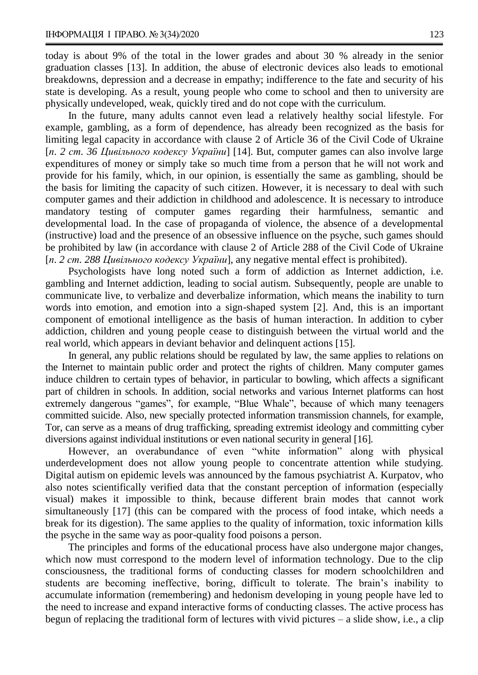today is about 9% of the total in the lower grades and about 30 % already in the senior graduation classes [13]. In addition, the abuse of electronic devices also leads to emotional breakdowns, depression and a decrease in empathy; indifference to the fate and security of his state is developing. As a result, young people who come to school and then to university are physically undeveloped, weak, quickly tired and do not cope with the curriculum.

In the future, many adults cannot even lead a relatively healthy social lifestyle. For example, gambling, as a form of dependence, has already been recognized as the basis for limiting legal capacity in accordance with clause 2 of Article 36 of the Civil Code of Ukraine [*п. 2 ст. 36 Цивільного кодексу України*] [14]. But, computer games can also involve large expenditures of money or simply take so much time from a person that he will not work and provide for his family, which, in our opinion, is essentially the same as gambling, should be the basis for limiting the capacity of such citizen. However, it is necessary to deal with such computer games and their addiction in childhood and adolescence. It is necessary to introduce mandatory testing of computer games regarding their harmfulness, semantic and developmental load. In the case of propaganda of violence, the absence of a developmental (instructive) load and the presence of an obsessive influence on the psyche, such games should be prohibited by law (in accordance with clause 2 of Article 288 of the Civil Code of Ukraine [*п. 2 ст. 288 Цивільного кодексу України*], any negative mental effect is prohibited).

Psychologists have long noted such a form of addiction as Internet addiction, i.e. gambling and Internet addiction, leading to social autism. Subsequently, people are unable to communicate live, to verbalize and deverbalize information, which means the inability to turn words into emotion, and emotion into a sign-shaped system [2]. And, this is an important component of emotional intelligence as the basis of human interaction. In addition to cyber addiction, children and young people cease to distinguish between the virtual world and the real world, which appears in deviant behavior and delinquent actions [15].

In general, any public relations should be regulated by law, the same applies to relations on the Internet to maintain public order and protect the rights of children. Many computer games induce children to certain types of behavior, in particular to bowling, which affects a significant part of children in schools. In addition, social networks and various Internet platforms can host extremely dangerous "games", for example, "Blue Whale", because of which many teenagers committed suicide. Also, new specially protected information transmission channels, for example, Tor, can serve as a means of drug trafficking, spreading extremist ideology and committing cyber diversions against individual institutions or even national security in general [16].

However, an overabundance of even "white information" along with physical underdevelopment does not allow young people to concentrate attention while studying. Digital autism on epidemic levels was announced by the famous psychiatrist A. Kurpatov, who also notes scientifically verified data that the constant perception of information (especially visual) makes it impossible to think, because different brain modes that cannot work simultaneously [17] (this can be compared with the process of food intake, which needs a break for its digestion). The same applies to the quality of information, toxic information kills the psyche in the same way as poor-quality food poisons a person.

The principles and forms of the educational process have also undergone major changes, which now must correspond to the modern level of information technology. Due to the clip consciousness, the traditional forms of conducting classes for modern schoolchildren and students are becoming ineffective, boring, difficult to tolerate. The brain's inability to accumulate information (remembering) and hedonism developing in young people have led to the need to increase and expand interactive forms of conducting classes. The active process has begun of replacing the traditional form of lectures with vivid pictures – a slide show, i.e., a clip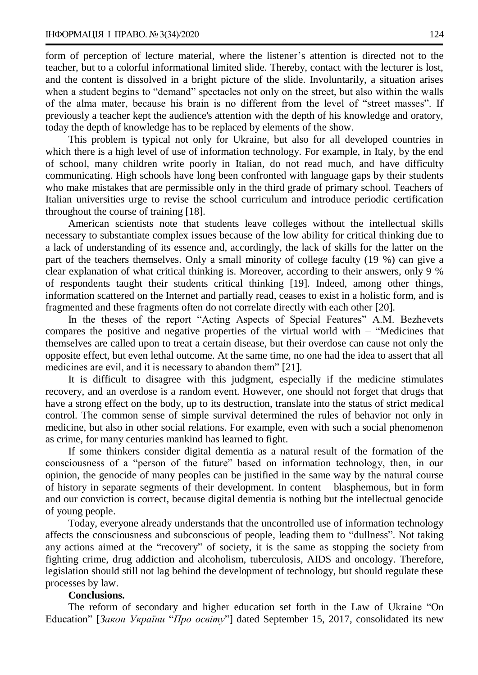form of perception of lecture material, where the listener's attention is directed not to the teacher, but to a colorful informational limited slide. Thereby, contact with the lecturer is lost, and the content is dissolved in a bright picture of the slide. Involuntarily, a situation arises when a student begins to "demand" spectacles not only on the street, but also within the walls of the alma mater, because his brain is no different from the level of "street masses". If previously a teacher kept the audience's attention with the depth of his knowledge and oratory, today the depth of knowledge has to be replaced by elements of the show.

This problem is typical not only for Ukraine, but also for all developed countries in which there is a high level of use of information technology. For example, in Italy, by the end of school, many children write poorly in Italian, do not read much, and have difficulty communicating. High schools have long been confronted with language gaps by their students who make mistakes that are permissible only in the third grade of primary school. Teachers of Italian universities urge to revise the school curriculum and introduce periodic certification throughout the course of training [18].

American scientists note that students leave colleges without the intellectual skills necessary to substantiate complex issues because of the low ability for critical thinking due to a lack of understanding of its essence and, accordingly, the lack of skills for the latter on the part of the teachers themselves. Only a small minority of college faculty (19 %) can give a clear explanation of what critical thinking is. Moreover, according to their answers, only 9 % of respondents taught their students critical thinking [19]. Indeed, among other things, information scattered on the Internet and partially read, ceases to exist in a holistic form, and is fragmented and these fragments often do not correlate directly with each other [20].

In the theses of the report "Acting Aspects of Special Features" A.M. Bezhevets compares the positive and negative properties of the virtual world with – "Medicines that themselves are called upon to treat a certain disease, but their overdose can cause not only the opposite effect, but even lethal outcome. At the same time, no one had the idea to assert that all medicines are evil, and it is necessary to abandon them" [21].

It is difficult to disagree with this judgment, especially if the medicine stimulates recovery, and an overdose is a random event. However, one should not forget that drugs that have a strong effect on the body, up to its destruction, translate into the status of strict medical control. The common sense of simple survival determined the rules of behavior not only in medicine, but also in other social relations. For example, even with such a social phenomenon as crime, for many centuries mankind has learned to fight.

If some thinkers consider digital dementia as a natural result of the formation of the consciousness of a "person of the future" based on information technology, then, in our opinion, the genocide of many peoples can be justified in the same way by the natural course of history in separate segments of their development. In content – blasphemous, but in form and our conviction is correct, because digital dementia is nothing but the intellectual genocide of young people.

Today, everyone already understands that the uncontrolled use of information technology affects the consciousness and subconscious of people, leading them to "dullness". Not taking any actions aimed at the "recovery" of society, it is the same as stopping the society from fighting crime, drug addiction and alcoholism, tuberculosis, AIDS and oncology. Therefore, legislation should still not lag behind the development of technology, but should regulate these processes by law.

## **Conclusions.**

The reform of secondary and higher education set forth in the Law of Ukraine "On Education" [*Закон України* "*Про освіту*"] dated September 15, 2017, consolidated its new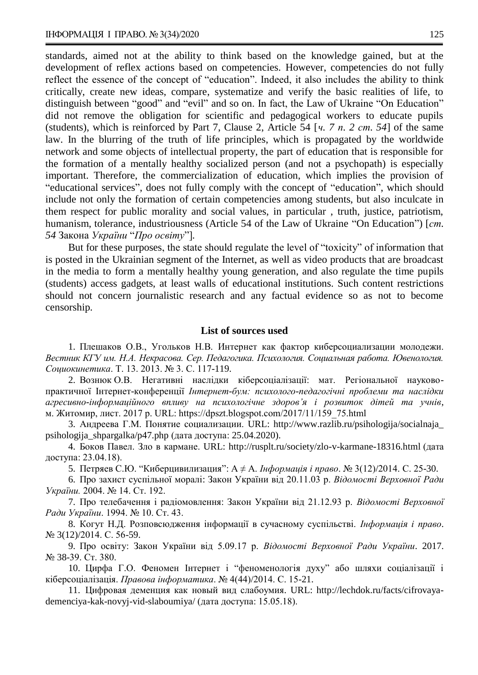standards, aimed not at the ability to think based on the knowledge gained, but at the development of reflex actions based on competencies. However, competencies do not fully reflect the essence of the concept of "education". Indeed, it also includes the ability to think critically, create new ideas, compare, systematize and verify the basic realities of life, to distinguish between "good" and "evil" and so on. In fact, the Law of Ukraine "On Education" did not remove the obligation for scientific and pedagogical workers to educate pupils (students), which is reinforced by Part 7, Clause 2, Article 54 [*ч. 7 п. 2 ст. 54*] of the same law. In the blurring of the truth of life principles, which is propagated by the worldwide network and some objects of intellectual property, the part of education that is responsible for the formation of a mentally healthy socialized person (and not a psychopath) is especially important. Therefore, the commercialization of education, which implies the provision of "educational services", does not fully comply with the concept of "education", which should include not only the formation of certain competencies among students, but also inculcate in them respect for public morality and social values, in particular , truth, justice, patriotism, humanism, tolerance, industriousness (Article 54 of the Law of Ukraine "On Education") [*cm*. *54* Закона *України* "*Про освіту*"]*.*

But for these purposes, the state should regulate the level of "toxicity" of information that is posted in the Ukrainian segment of the Internet, as well as video products that are broadcast in the media to form a mentally healthy young generation, and also regulate the time pupils (students) access gadgets, at least walls of educational institutions. Such content restrictions should not concern journalistic research and any factual evidence so as not to become censorship.

### **List of sources used**

1. Плешаков О.В., Угольков Н.В. Интернет как фактор киберсоциализации молодежи. *Вестник КГУ им. Н.А. Некрасова. Сер. Педагогика. Психология. Социальная работа. Ювенология. Социокинетика*. Т. 13. 2013. № 3. С. 117-119.

2. Вознюк О.В. Негативні наслідки кіберсоціалізації: мат. Регіональної науковопрактичної Інтернет-конференції *Інтернет-бум: психолого-педагогічні проблеми та наслідки агресивно-інформаційного впливу на психологічне здоров'я і розвиток дітей та учнів*, м. Житомир, лист. 2017 р. URL: https://dpszt.blogspot.com/2017/11/159\_75.html

3. Андреева Г.М. Понятие социализации. URL: [http://www.razlib.ru/psihologija/socialnaja\\_](http://www.razlib.ru/psihologija/socialnaja_psihologija_shpargalka/p47.php)  [psihologija\\_shpargalka/p47.php](http://www.razlib.ru/psihologija/socialnaja_psihologija_shpargalka/p47.php) (дата доступа: 25.04.2020).

4. Боков Павел. Зло в кармане. URL: http://rusplt.ru/society/zlo-v-karmane-18316.html (дата доступа: 23.04.18).

5. Петряев С.Ю. "Киберцивилизация": А ≠ А. *Інформація і право*. № 3(12)/2014. С. 25-30.

6. Про захист суспільної моралі: Закон України від 20.11.03 р. *Відомості Верховної Ради України.* 2004. № 14. Ст. 192.

7. Про телебачення і радіомовлення: Закон України від 21.12.93 р. *Відомості Верховної Ради України*. 1994. № 10. Ст. 43.

8. Когут Н.Д. Розповсюдження інформації в сучасному суспільстві. *Інформація і право*. № 3(12)/2014. С. 56-59.

9. Про освіту: Закон України від 5.09.17 р. *Відомості Верховної Ради України*. 2017. № 38-39. Ст. 380.

10. Цирфа Г.О. Феномен Інтернет і "феноменологія духу" або шляхи соціалізації і кіберсоціалізація. *Правова інформатика*. № 4(44)/2014. С. 15-21.

11. Цифровая деменция как новый вид слабоумия. URL: [http://lechdok.ru/facts/cifrovaya](http://lechdok.ru/facts/cifrovaya-demenciya-kak-novyj-vid-slaboumiya/)[demenciya-kak-novyj-vid-slaboumiya/](http://lechdok.ru/facts/cifrovaya-demenciya-kak-novyj-vid-slaboumiya/) (дата доступа: 15.05.18).